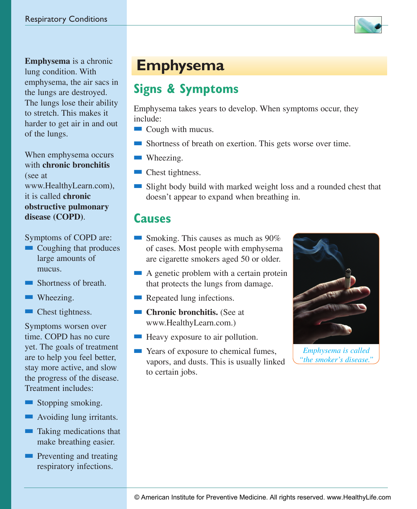

**Emphysema** is a chronic lung condition. With emphysema, the air sacs in the lungs are destroyed. The lungs lose their ability to stretch. This makes it harder to get air in and out of the lungs.

When emphysema occurs with **chronic bronchitis** (see at www.HealthyLearn.com), it is called **chronic obstructive pulmonary disease (COPD)**.

Symptoms of COPD are:

- $\blacksquare$  Coughing that produces large amounts of mucus.
- $\blacksquare$  Shortness of breath.
- $\blacksquare$  Wheezing.
- $\blacksquare$  Chest tightness.

Symptoms worsen over time. COPD has no cure yet. The goals of treatment are to help you feel better, stay more active, and slow the progress of the disease. Treatment includes:

- Stopping smoking.
- $\blacksquare$  Avoiding lung irritants.
- $\blacksquare$  Taking medications that make breathing easier.
- $\blacksquare$  Preventing and treating respiratory infections.

## **Emphysema**

## **Signs & Symptoms**

Emphysema takes years to develop. When symptoms occur, they include:

- $\Box$  Cough with mucus.
- $\blacksquare$  Shortness of breath on exertion. This gets worse over time.
- $\blacksquare$  Wheezing.
- $\blacksquare$  Chest tightness.
- Slight body build with marked weight loss and a rounded chest that doesn't appear to expand when breathing in.

#### **Causes**

- **n** Smoking. This causes as much as  $90\%$ of cases. Most people with emphysema are cigarette smokers aged 50 or older.
- $\blacksquare$  A genetic problem with a certain protein that protects the lungs from damage.
- $\blacksquare$  Repeated lung infections.
- **n Chronic bronchitis.** (See at www.HealthyLearn.com.)
- $\blacksquare$  Heavy exposure to air pollution.
- **n** Years of exposure to chemical fumes, vapors, and dusts. This is usually linked to certain jobs.



*Emphysema is called "the smoker's disease."*